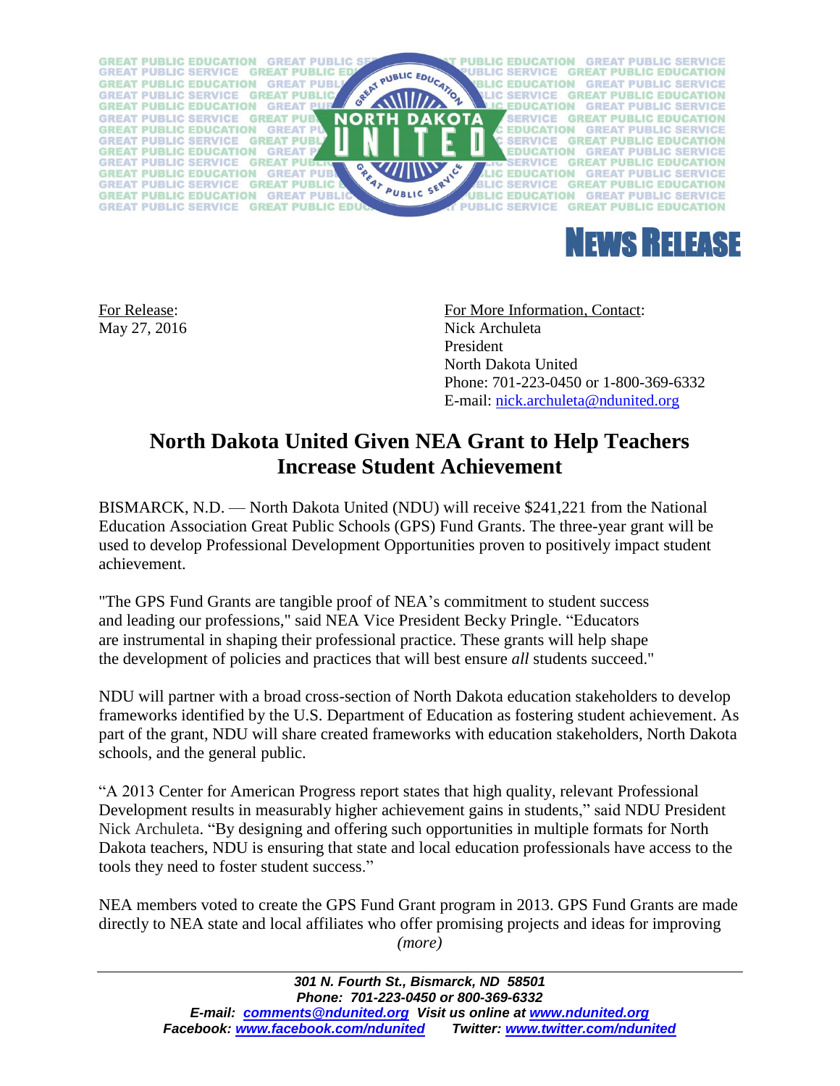



For Release: For More Information, Contact: May 27, 2016 Nick Archuleta President North Dakota United Phone: 701-223-0450 or 1-800-369-6332 E-mail: [nick.archuleta@ndunited.org](mailto:nick.archuleta@ndunited.org)

## **North Dakota United Given NEA Grant to Help Teachers Increase Student Achievement**

BISMARCK, N.D. — North Dakota United (NDU) will receive \$241,221 from the National Education Association Great Public Schools (GPS) Fund Grants. The three-year grant will be used to develop Professional Development Opportunities proven to positively impact student achievement.

"The GPS Fund Grants are tangible proof of NEA's commitment to student success and leading our professions," said NEA Vice President Becky Pringle. "Educators are instrumental in shaping their professional practice. These grants will help shape the development of policies and practices that will best ensure *all* students succeed."

NDU will partner with a broad cross-section of North Dakota education stakeholders to develop frameworks identified by the U.S. Department of Education as fostering student achievement. As part of the grant, NDU will share created frameworks with education stakeholders, North Dakota schools, and the general public.

"A 2013 Center for American Progress report states that high quality, relevant Professional Development results in measurably higher achievement gains in students," said NDU President Nick Archuleta. "By designing and offering such opportunities in multiple formats for North Dakota teachers, NDU is ensuring that state and local education professionals have access to the tools they need to foster student success."

NEA members voted to create the GPS Fund Grant program in 2013. GPS Fund Grants are made directly to NEA state and local affiliates who offer promising projects and ideas for improving *(more)*